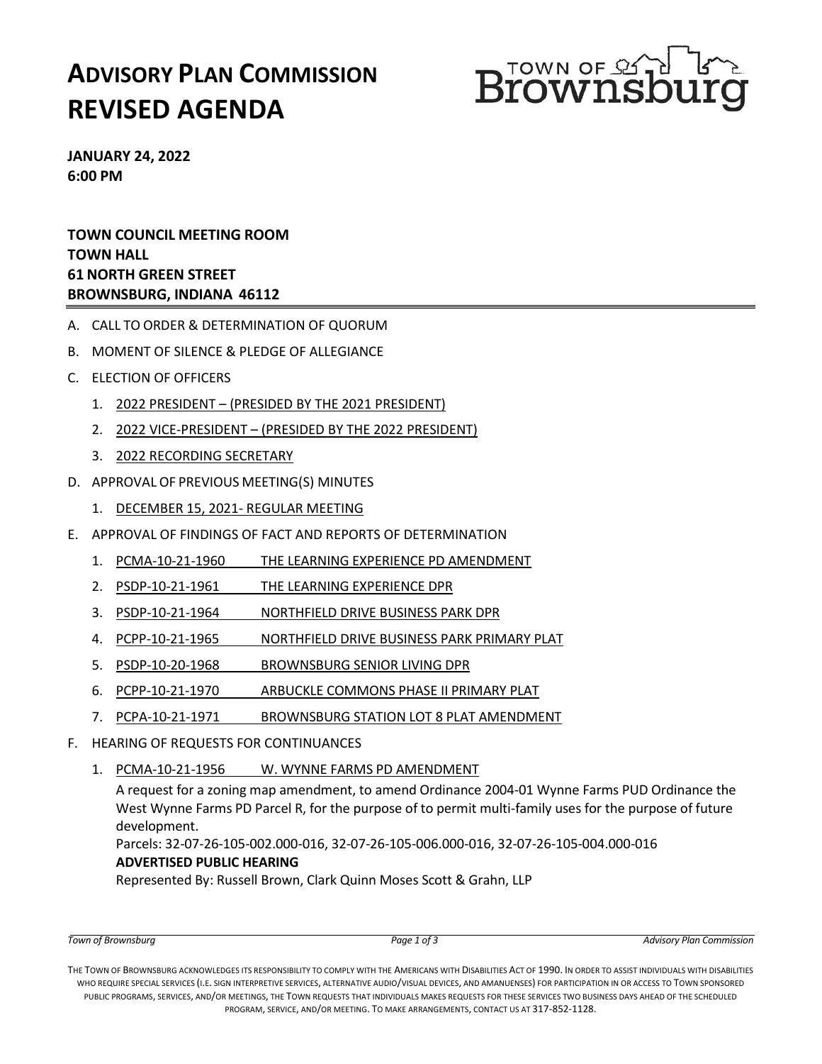# **ADVISORY PLAN COMMISSION REVISED AGENDA**



**JANUARY 24, 2022 6:00 PM**

**TOWN COUNCIL MEETING ROOM TOWN HALL 61 NORTH GREEN STREET BROWNSBURG, INDIANA 46112**

- A. CALL TO ORDER & DETERMINATION OF QUORUM
- B. MOMENT OF SILENCE & PLEDGE OF ALLEGIANCE
- C. ELECTION OF OFFICERS
	- 1. 2022 PRESIDENT (PRESIDED BY THE 2021 PRESIDENT)
	- 2. 2022 VICE-PRESIDENT (PRESIDED BY THE 2022 PRESIDENT)
	- 3. 2022 RECORDING SECRETARY
- D. APPROVAL OF PREVIOUS MEETING(S) MINUTES
	- 1. DECEMBER 15, 2021- REGULAR MEETING
- E. APPROVAL OF FINDINGS OF FACT AND REPORTS OF DETERMINATION
	- 1. PCMA-10-21-1960 THE LEARNING EXPERIENCE PD AMENDMENT
	- 2. PSDP-10-21-1961 THE LEARNING EXPERIENCE DPR
	- 3. PSDP-10-21-1964 NORTHFIELD DRIVE BUSINESS PARK DPR
	- 4. PCPP-10-21-1965 NORTHFIELD DRIVE BUSINESS PARK PRIMARY PLAT
	- 5. PSDP-10-20-1968 BROWNSBURG SENIOR LIVING DPR
	- 6. PCPP-10-21-1970 ARBUCKLE COMMONS PHASE II PRIMARY PLAT
	- 7. PCPA-10-21-1971 BROWNSBURG STATION LOT 8 PLAT AMENDMENT
- F. HEARING OF REQUESTS FOR CONTINUANCES
	- 1. PCMA-10-21-1956 W. WYNNE FARMS PD AMENDMENT

A request for a zoning map amendment, to amend Ordinance 2004-01 Wynne Farms PUD Ordinance the West Wynne Farms PD Parcel R, for the purpose of to permit multi-family uses for the purpose of future development.

Parcels: 32-07-26-105-002.000-016, 32-07-26-105-006.000-016, 32-07-26-105-004.000-016 **ADVERTISED PUBLIC HEARING** 

Represented By: Russell Brown, Clark Quinn Moses Scott & Grahn, LLP

THE TOWN OF BROWNSBURG ACKNOWLEDGES ITS RESPONSIBILITY TO COMPLY WITH THE AMERICANS WITH DISABILITIES ACT OF 1990. IN ORDER TO ASSIST INDIVIDUALS WITH DISABILITIES WHO REQUIRE SPECIAL SERVICES (I.E. SIGN INTERPRETIVE SERVICES, ALTERNATIVE AUDIO/VISUAL DEVICES, AND AMANUENSES) FOR PARTICIPATION IN OR ACCESS TO TOWN SPONSORED PUBLIC PROGRAMS, SERVICES, AND/OR MEETINGS, THE TOWN REQUESTS THAT INDIVIDUALS MAKES REQUESTS FOR THESE SERVICES TWO BUSINESS DAYS AHEAD OF THE SCHEDULED PROGRAM, SERVICE, AND/OR MEETING. TO MAKE ARRANGEMENTS, CONTACT US AT 317-852-1128.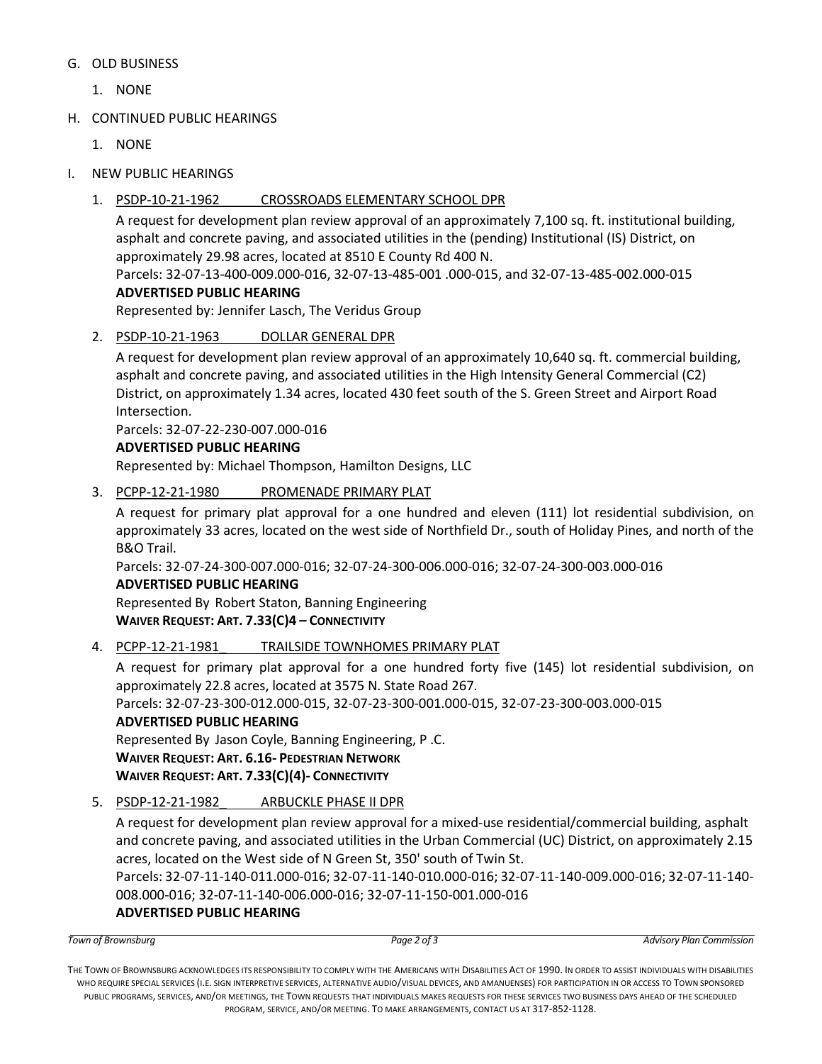### G. OLD BUSINESS

- 1. NONE
- H. CONTINUED PUBLIC HEARINGS
	- 1. NONE
- I. NEW PUBLIC HEARINGS
	- 1. PSDP-10-21-1962 CROSSROADS ELEMENTARY SCHOOL DPR

A request for development plan review approval of an approximately 7,100 sq. ft. institutional building, asphalt and concrete paving, and associated utilities in the (pending) Institutional (IS) District, on approximately 29.98 acres, located at 8510 E County Rd 400 N.

Parcels: 32-07-13-400-009.000-016, 32-07-13-485-001 .000-015, and 32-07-13-485-002.000-015 **ADVERTISED PUBLIC HEARING**

Represented by: Jennifer Lasch, The Veridus Group

2. PSDP-10-21-1963 DOLLAR GENERAL DPR

A request for development plan review approval of an approximately 10,640 sq. ft. commercial building, asphalt and concrete paving, and associated utilities in the High Intensity General Commercial (C2) District, on approximately 1.34 acres, located 430 feet south of the S. Green Street and Airport Road Intersection.

Parcels: 32-07-22-230-007.000-016

## **ADVERTISED PUBLIC HEARING**

Represented by: Michael Thompson, Hamilton Designs, LLC

3. PCPP-12-21-1980\_ PROMENADE PRIMARY PLAT

A request for primary plat approval for a one hundred and eleven (111) lot residential subdivision, on approximately 33 acres, located on the west side of Northfield Dr., south of Holiday Pines, and north of the B&O Trail.

Parcels: 32-07-24-300-007.000-016; 32-07-24-300-006.000-016; 32-07-24-300-003.000-016

## **ADVERTISED PUBLIC HEARING**

Represented By Robert Staton, Banning Engineering **WAIVER REQUEST: ART. 7.33(C)4 – CONNECTIVITY**

4. PCPP-12-21-1981\_ TRAILSIDE TOWNHOMES PRIMARY PLAT

A request for primary plat approval for a one hundred forty five (145) lot residential subdivision, on approximately 22.8 acres, located at 3575 N. State Road 267.

Parcels: 32-07-23-300-012.000-015, 32-07-23-300-001.000-015, 32-07-23-300-003.000-015

## **ADVERTISED PUBLIC HEARING**

Represented By Jason Coyle, Banning Engineering, P .C. **WAIVER REQUEST: ART. 6.16- PEDESTRIAN NETWORK WAIVER REQUEST: ART. 7.33(C)(4)- CONNECTIVITY** 

5. PSDP-12-21-1982\_ ARBUCKLE PHASE II DPR

A request for development plan review approval for a mixed-use residential/commercial building, asphalt and concrete paving, and associated utilities in the Urban Commercial (UC) District, on approximately 2.15 acres, located on the West side of N Green St, 350' south of Twin St.

Parcels: 32-07-11-140-011.000-016; 32-07-11-140-010.000-016; 32-07-11-140-009.000-016; 32-07-11-140- 008.000-016; 32-07-11-140-006.000-016; 32-07-11-150-001.000-016 **ADVERTISED PUBLIC HEARING**

THE TOWN OF BROWNSBURG ACKNOWLEDGES ITS RESPONSIBILITY TO COMPLY WITH THE AMERICANS WITH DISABILITIES ACT OF 1990. IN ORDER TO ASSIST INDIVIDUALS WITH DISABILITIES WHO REQUIRE SPECIAL SERVICES (I.E. SIGN INTERPRETIVE SERVICES, ALTERNATIVE AUDIO/VISUAL DEVICES, AND AMANUENSES) FOR PARTICIPATION IN OR ACCESS TO TOWN SPONSORED PUBLIC PROGRAMS, SERVICES, AND/OR MEETINGS, THE TOWN REQUESTS THAT INDIVIDUALS MAKES REQUESTS FOR THESE SERVICES TWO BUSINESS DAYS AHEAD OF THE SCHEDULED PROGRAM, SERVICE, AND/OR MEETING. TO MAKE ARRANGEMENTS, CONTACT US AT 317-852-1128.